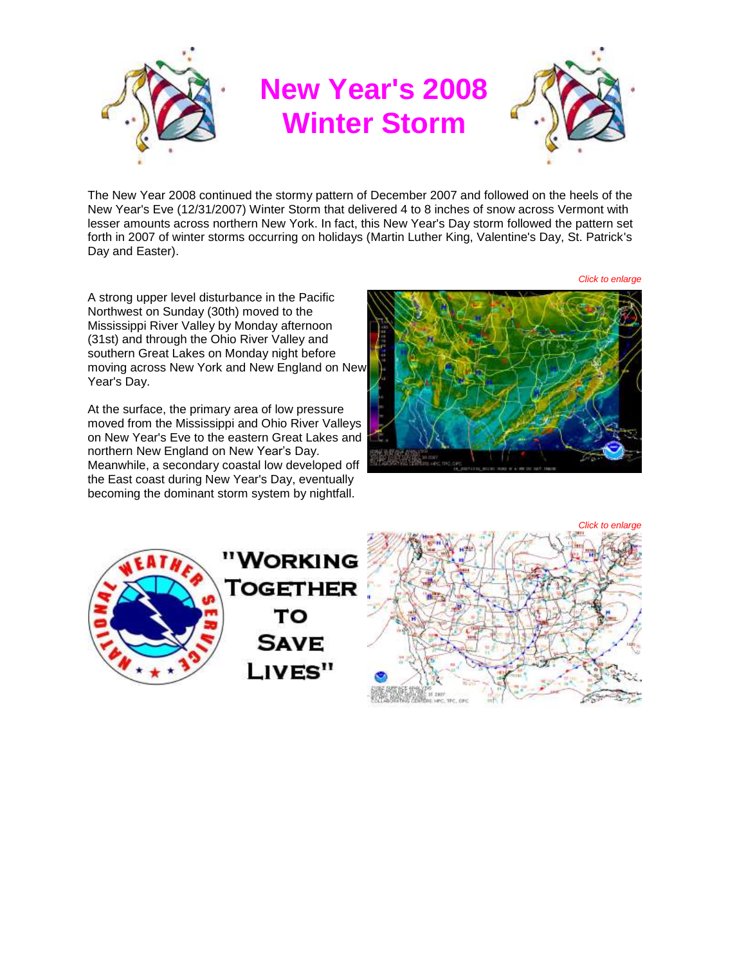

The New Year 2008 continued the stormy pattern of December 2007 and followed on the heels of the New Year's Eve (12/31/2007) Winter Storm that delivered 4 to 8 inches of snow across Vermont with lesser amounts across northern New York. In fact, this New Year's Day storm followed the pattern set forth in 2007 of winter storms occurring on holidays (Martin Luther King, Valentine's Day, St. Patrick's Day and Easter).

*Click to enlarge*

A strong upper level disturbance in the Pacific Northwest on Sunday (30th) moved to the Mississippi River Valley by Monday afternoon (31st) and through the Ohio River Valley and southern Great Lakes on Monday night before moving across New York and New England on New Year's Day.

At the surface, the primary area of low pressure moved from the Mississippi and Ohio River Valleys on New Year's Eve to the eastern Great Lakes and northern New England on New Year's Day. Meanwhile, a secondary coastal low developed off the East coast during New Year's Day, eventually becoming the dominant storm system by nightfall.





"WORKING TOGETHER TO **SAVE**  $LIVES<sup>n</sup>$ 

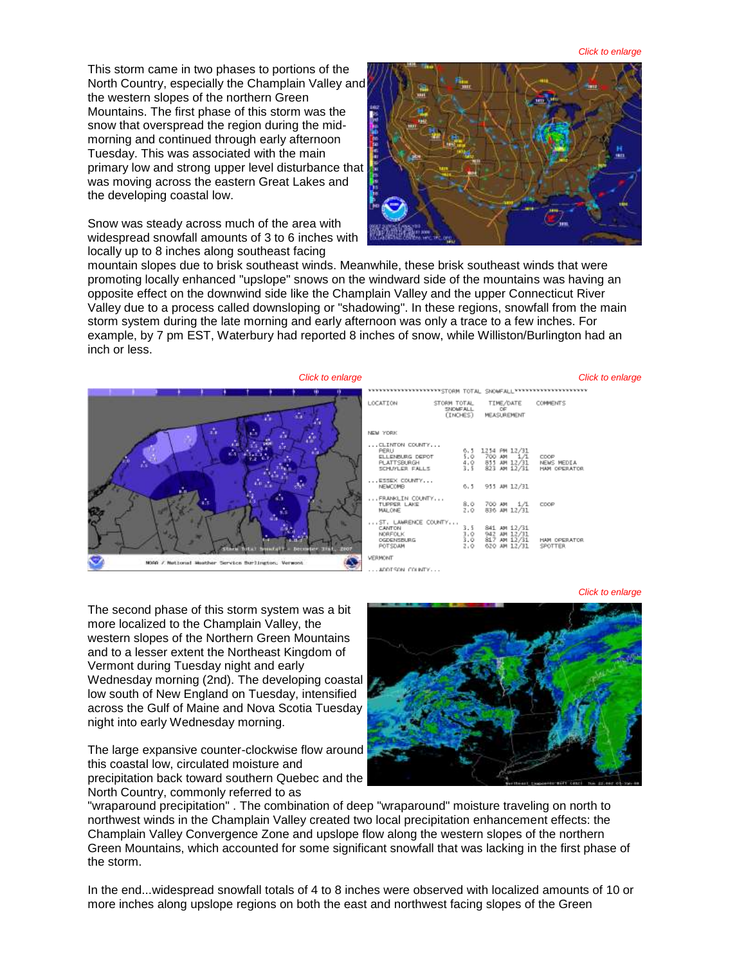*Click to enlarge*

This storm came in two phases to portions of the North Country, especially the Champlain Valley and the western slopes of the northern Green Mountains. The first phase of this storm was the snow that overspread the region during the midmorning and continued through early afternoon Tuesday. This was associated with the main primary low and strong upper level disturbance that was moving across the eastern Great Lakes and the developing coastal low.

Snow was steady across much of the area with widespread snowfall amounts of 3 to 6 inches with locally up to 8 inches along southeast facing



mountain slopes due to brisk southeast winds. Meanwhile, these brisk southeast winds that were promoting locally enhanced "upslope" snows on the windward side of the mountains was having an opposite effect on the downwind side like the Champlain Valley and the upper Connecticut River Valley due to a process called downsloping or "shadowing". In these regions, snowfall from the main storm system during the late morning and early afternoon was only a trace to a few inches. For example, by 7 pm EST, Waterbury had reported 8 inches of snow, while Williston/Burlington had an inch or less.



The second phase of this storm system was a bit more localized to the Champlain Valley, the western slopes of the Northern Green Mountains and to a lesser extent the Northeast Kingdom of Vermont during Tuesday night and early Wednesday morning (2nd). The developing coastal low south of New England on Tuesday, intensified across the Gulf of Maine and Nova Scotia Tuesday night into early Wednesday morning.

The large expansive counter-clockwise flow around this coastal low, circulated moisture and precipitation back toward southern Quebec and the North Country, commonly referred to as



"wraparound precipitation" . The combination of deep "wraparound" moisture traveling on north to northwest winds in the Champlain Valley created two local precipitation enhancement effects: the Champlain Valley Convergence Zone and upslope flow along the western slopes of the northern Green Mountains, which accounted for some significant snowfall that was lacking in the first phase of the storm.

In the end...widespread snowfall totals of 4 to 8 inches were observed with localized amounts of 10 or more inches along upslope regions on both the east and northwest facing slopes of the Green